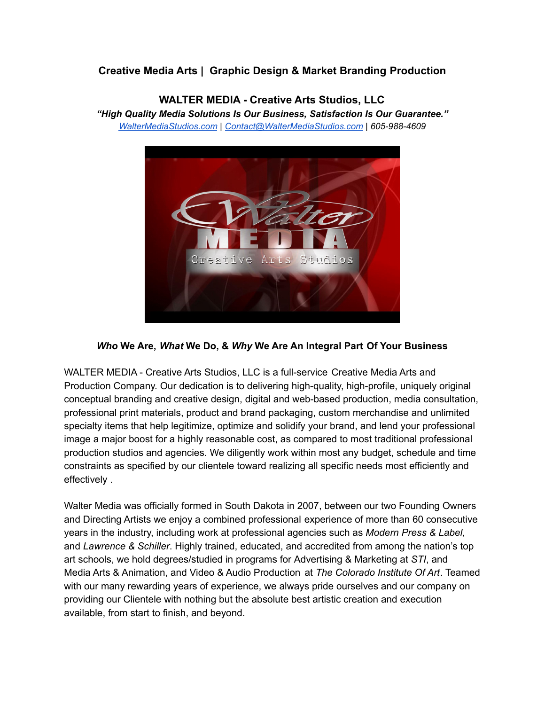# **Creative Media Arts | Graphic Design & Market Branding Production**

**WALTER MEDIA - Creative Arts Studios, LLC** *"High Quality Media Solutions Is Our Business, Satisfaction Is Our Guarantee." [WalterMediaStudios.com](http://www.waltermediastudios.com) | [Contact@WalterMediaStudios.com](mailto:Josh@WalterMediaStudios.com) | 605-988-4609*



### *Who* **We Are,** *What* **We Do, &** *Why* **We Are An Integral Part Of Your Business**

WALTER MEDIA - Creative Arts Studios, LLC is a full-service Creative Media Arts and Production Company. Our dedication is to delivering high-quality, high-profile, uniquely original conceptual branding and creative design, digital and web-based production, media consultation, professional print materials, product and brand packaging, custom merchandise and unlimited specialty items that help legitimize, optimize and solidify your brand, and lend your professional image a major boost for a highly reasonable cost, as compared to most traditional professional production studios and agencies. We diligently work within most any budget, schedule and time constraints as specified by our clientele toward realizing all specific needs most efficiently and effectively .

Walter Media was officially formed in South Dakota in 2007, between our two Founding Owners and Directing Artists we enjoy a combined professional experience of more than 60 consecutive years in the industry, including work at professional agencies such as *Modern Press & Label*, and *Lawrence & Schiller*. Highly trained, educated, and accredited from among the nation's top art schools, we hold degrees/studied in programs for Advertising & Marketing at *STI*, and Media Arts & Animation, and Video & Audio Production at *The Colorado Institute Of Art*. Teamed with our many rewarding years of experience, we always pride ourselves and our company on providing our Clientele with nothing but the absolute best artistic creation and execution available, from start to finish, and beyond.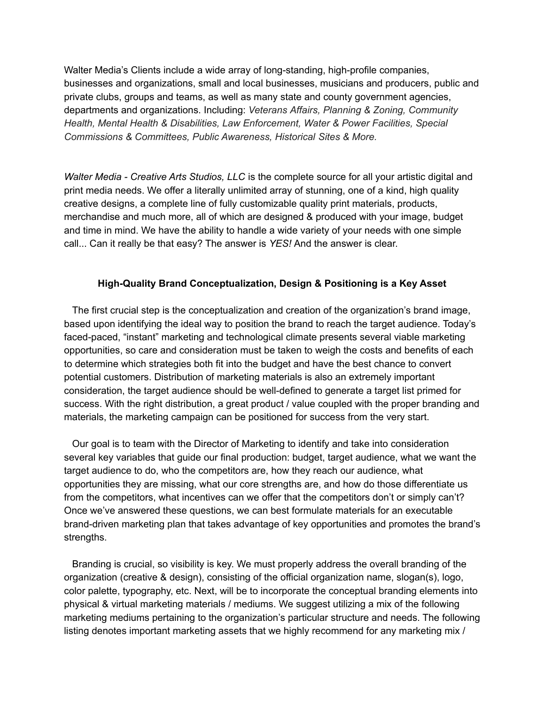Walter Media's Clients include a wide array of long-standing, high-profile companies, businesses and organizations, small and local businesses, musicians and producers, public and private clubs, groups and teams, as well as many state and county government agencies, departments and organizations. Including: *Veterans Affairs, Planning & Zoning, Community Health, Mental Health & Disabilities, Law Enforcement, Water & Power Facilities, Special Commissions & Committees, Public Awareness, Historical Sites & More.*

*Walter Media - Creative Arts Studios, LLC* is the complete source for all your artistic digital and print media needs. We offer a literally unlimited array of stunning, one of a kind, high quality creative designs, a complete line of fully customizable quality print materials, products, merchandise and much more, all of which are designed & produced with your image, budget and time in mind. We have the ability to handle a wide variety of your needs with one simple call... Can it really be that easy? The answer is *YES!* And the answer is clear.

### **High-Quality Brand Conceptualization, Design & Positioning is a Key Asset**

The first crucial step is the conceptualization and creation of the organization's brand image, based upon identifying the ideal way to position the brand to reach the target audience. Today's faced-paced, "instant" marketing and technological climate presents several viable marketing opportunities, so care and consideration must be taken to weigh the costs and benefits of each to determine which strategies both fit into the budget and have the best chance to convert potential customers. Distribution of marketing materials is also an extremely important consideration, the target audience should be well-defined to generate a target list primed for success. With the right distribution, a great product / value coupled with the proper branding and materials, the marketing campaign can be positioned for success from the very start.

Our goal is to team with the Director of Marketing to identify and take into consideration several key variables that guide our final production: budget, target audience, what we want the target audience to do, who the competitors are, how they reach our audience, what opportunities they are missing, what our core strengths are, and how do those differentiate us from the competitors, what incentives can we offer that the competitors don't or simply can't? Once we've answered these questions, we can best formulate materials for an executable brand-driven marketing plan that takes advantage of key opportunities and promotes the brand's strengths.

Branding is crucial, so visibility is key. We must properly address the overall branding of the organization (creative & design), consisting of the official organization name, slogan(s), logo, color palette, typography, etc. Next, will be to incorporate the conceptual branding elements into physical & virtual marketing materials / mediums. We suggest utilizing a mix of the following marketing mediums pertaining to the organization's particular structure and needs. The following listing denotes important marketing assets that we highly recommend for any marketing mix /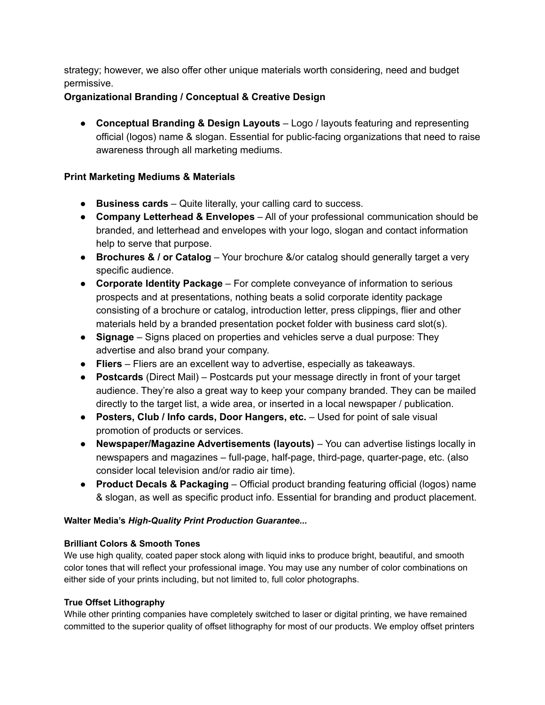strategy; however, we also offer other unique materials worth considering, need and budget permissive.

## **Organizational Branding / Conceptual & Creative Design**

● **Conceptual Branding & Design Layouts** – Logo / layouts featuring and representing official (logos) name & slogan. Essential for public-facing organizations that need to raise awareness through all marketing mediums.

## **Print Marketing Mediums & Materials**

- **Business cards** Quite literally, your calling card to success.
- **Company Letterhead & Envelopes** All of your professional communication should be branded, and letterhead and envelopes with your logo, slogan and contact information help to serve that purpose.
- **Brochures & / or Catalog** Your brochure &/or catalog should generally target a very specific audience.
- **Corporate Identity Package** For complete conveyance of information to serious prospects and at presentations, nothing beats a solid corporate identity package consisting of a brochure or catalog, introduction letter, press clippings, flier and other materials held by a branded presentation pocket folder with business card slot(s).
- **Signage** Signs placed on properties and vehicles serve a dual purpose: They advertise and also brand your company.
- **Fliers** Fliers are an excellent way to advertise, especially as takeaways.
- **Postcards** (Direct Mail) Postcards put your message directly in front of your target audience. They're also a great way to keep your company branded. They can be mailed directly to the target list, a wide area, or inserted in a local newspaper / publication.
- **Posters, Club / Info cards, Door Hangers, etc.** Used for point of sale visual promotion of products or services.
- **Newspaper/Magazine Advertisements (layouts)** You can advertise listings locally in newspapers and magazines – full-page, half-page, third-page, quarter-page, etc. (also consider local television and/or radio air time).
- **● Product Decals & Packaging** Official product branding featuring official (logos) name & slogan, as well as specific product info. Essential for branding and product placement.

### **Walter Media's** *High-Quality Print Production Guarantee...*

### **Brilliant Colors & Smooth Tones**

We use high quality, coated paper stock along with liquid inks to produce bright, beautiful, and smooth color tones that will reflect your professional image. You may use any number of color combinations on either side of your prints including, but not limited to, full color photographs.

### **True Offset Lithography**

While other printing companies have completely switched to laser or digital printing, we have remained committed to the superior quality of offset lithography for most of our products. We employ offset printers